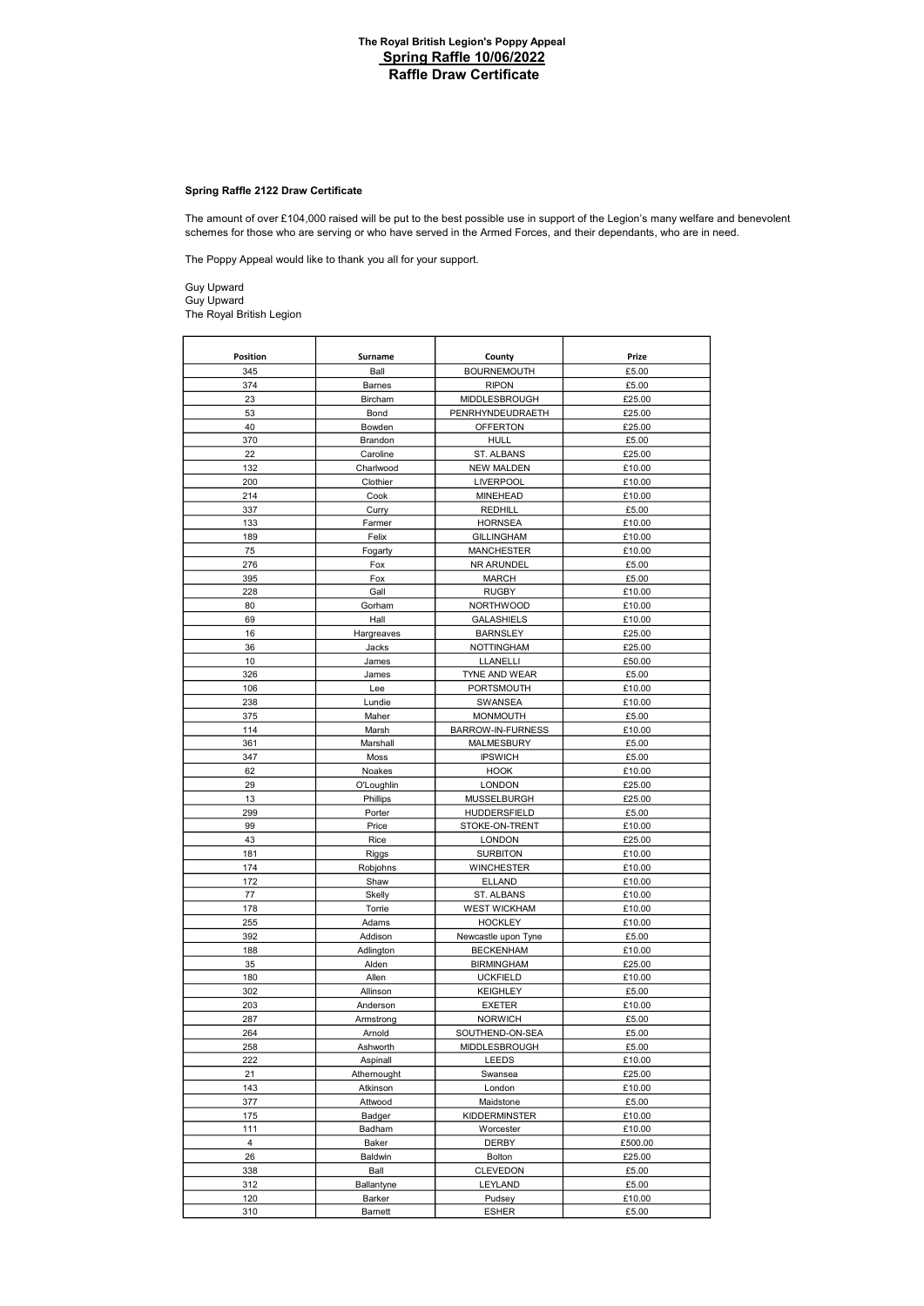# Spring Raffle 2122 Draw Certificate

schemes for those who are serving or who have served in the Armed Forces, and their dependants, who are in need. The amount of over £104,000 raised will be put to the best possible use in support of the Legion's many welfare and benevolent

The Poppy Appeal would like to thank you all for your support.

Guy Upward Guy Upward The Royal British Legion

| Position              | Surname              | County                               | Prize   |
|-----------------------|----------------------|--------------------------------------|---------|
| 345                   | Ball                 | <b>BOURNEMOUTH</b>                   | £5.00   |
| 374                   | Barnes               | <b>RIPON</b>                         | £5.00   |
| 23                    | Bircham              | MIDDLESBROUGH                        | £25.00  |
| 53                    | Bond                 | PENRHYNDEUDRAETH                     | £25.00  |
| 40                    | Bowden               | <b>OFFERTON</b>                      | £25.00  |
| 370                   | Brandon              | HULL                                 | £5.00   |
| 22                    | Caroline             | ST. ALBANS                           | £25.00  |
| 132                   | Charlwood            | <b>NEW MALDEN</b>                    | £10.00  |
| 200                   | Clothier             | <b>LIVERPOOL</b>                     | £10.00  |
| 214                   | Cook                 | <b>MINEHEAD</b>                      | £10.00  |
| 337                   | Curry                | REDHILL                              | £5.00   |
| 133                   | Farmer               | <b>HORNSEA</b>                       | £10.00  |
| 189                   | Felix                | <b>GILLINGHAM</b>                    | £10.00  |
| 75                    | Fogarty              | <b>MANCHESTER</b>                    | £10.00  |
| 276                   | Fox                  | NR ARUNDEL                           | £5.00   |
| 395                   | Fox                  | <b>MARCH</b>                         | £5.00   |
| 228                   | Gall                 | <b>RUGBY</b>                         | £10.00  |
| 80                    | Gorham               | <b>NORTHWOOD</b>                     | £10.00  |
| 69                    | Hall                 | <b>GALASHIELS</b>                    | £10.00  |
| 16                    | Hargreaves           | <b>BARNSLEY</b>                      | £25.00  |
| 36                    | Jacks                | <b>NOTTINGHAM</b>                    | £25.00  |
| 10                    | James                | LLANELLI                             | £50.00  |
| 326                   | James                | TYNE AND WEAR                        | £5.00   |
| 106                   | Lee                  | PORTSMOUTH                           | £10.00  |
| 238                   | Lundie               | <b>SWANSEA</b>                       | £10.00  |
| 375                   | Maher                | <b>MONMOUTH</b>                      | £5.00   |
| 114                   | Marsh                | BARROW-IN-FURNESS                    | £10.00  |
| 361                   | Marshall             | MALMESBURY                           | £5.00   |
| 347                   | Moss                 | <b>IPSWICH</b>                       | £5.00   |
| 62                    | Noakes               | <b>HOOK</b>                          | £10.00  |
| 29                    | O'Loughlin           | <b>LONDON</b>                        | £25.00  |
| 13                    | Phillips             | MUSSELBURGH                          | £25.00  |
| 299                   | Porter               | HUDDERSFIELD                         | £5.00   |
| 99                    | Price                | STOKE-ON-TRENT                       | £10.00  |
| 43                    | Rice                 | <b>LONDON</b>                        | £25.00  |
| 181                   | Riggs                | <b>SURBITON</b>                      | £10.00  |
| 174                   | Robjohns             | <b>WINCHESTER</b>                    | £10.00  |
| 172                   | Shaw                 | <b>ELLAND</b>                        | £10.00  |
| 77                    | Skelly               | ST. ALBANS                           | £10.00  |
| 178                   | Torrie               | <b>WEST WICKHAM</b>                  | £10.00  |
| 255                   | Adams                | <b>HOCKLEY</b>                       | £10.00  |
| 392                   | Addison              | Newcastle upon Tyne                  | £5.00   |
| 188                   | Adlington            | <b>BECKENHAM</b>                     | £10.00  |
| 35                    | Alden<br>Allen       | <b>BIRMINGHAM</b><br><b>UCKFIELD</b> | £25.00  |
| 180                   |                      |                                      | £10.00  |
| 302                   | Allinson             | <b>KEIGHLEY</b>                      | £5.00   |
| 203                   | Anderson             | <b>EXETER</b>                        | £10.00  |
| 287                   | Armstrong            | <b>NORWICH</b>                       | £5.00   |
| 264                   | Arnold               | SOUTHEND-ON-SEA                      | £5.00   |
| 258                   | Ashworth             | MIDDLESBROUGH                        | £5.00   |
| 222                   | Aspinall             | LEEDS                                | £10.00  |
| 21                    | Athernought          | Swansea                              | £25.00  |
| 143                   | Atkinson             | London                               | £10.00  |
| 377                   | Attwood              | Maidstone                            | £5.00   |
| 175                   | Badger               | KIDDERMINSTER                        | £10.00  |
| 111<br>$\overline{4}$ | Badham               | Worcester                            | £10.00  |
|                       | Baker                | <b>DERBY</b><br>Bolton               | £500.00 |
| 26                    | Baldwin              |                                      | £25.00  |
| 338                   | Ball                 | CLEVEDON                             | £5.00   |
| 312                   | Ballantyne<br>Barker | LEYLAND                              | £5.00   |
| 120                   |                      | Pudsey                               | £10.00  |
| 310                   | <b>Barnett</b>       | <b>ESHER</b>                         | £5.00   |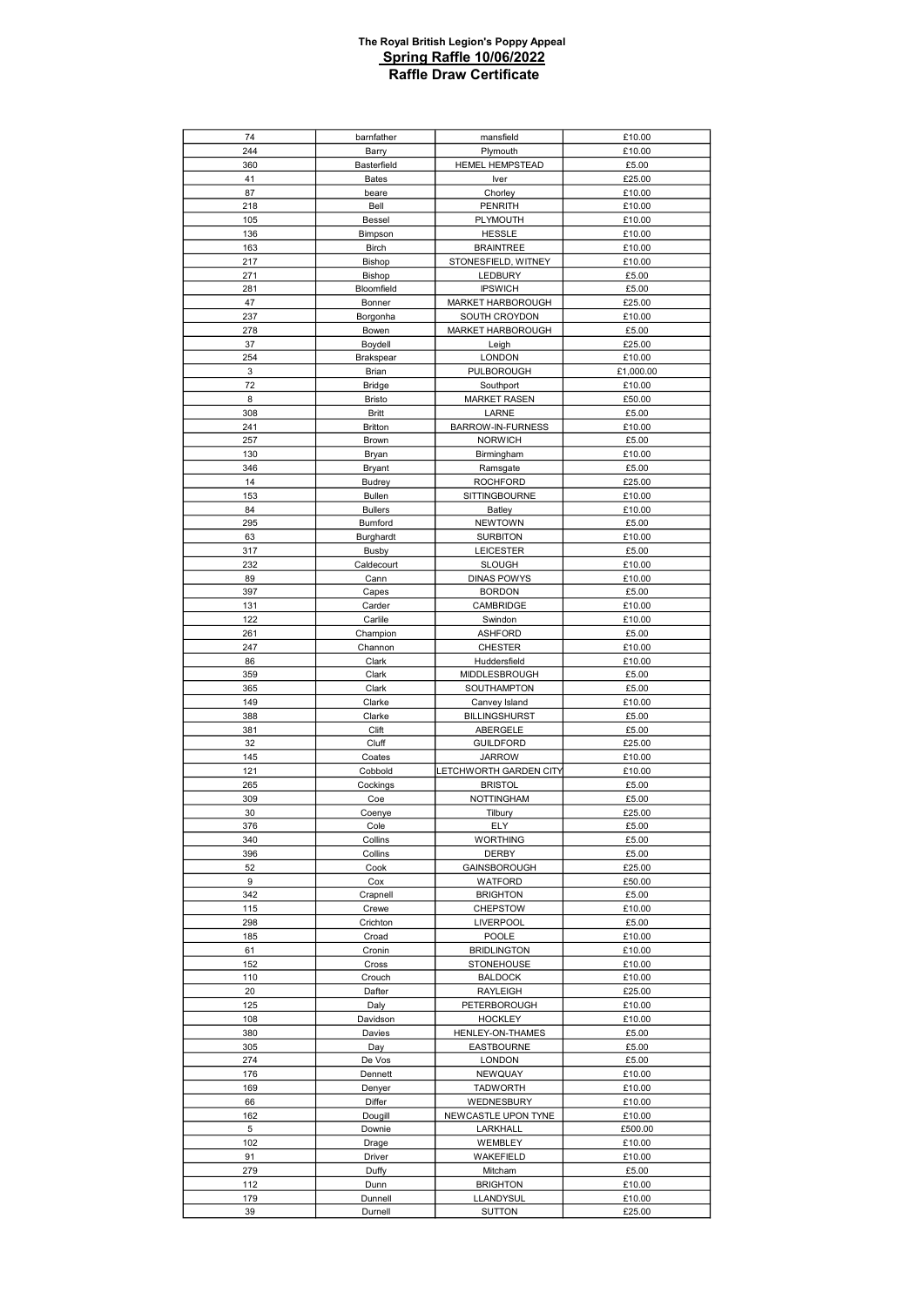| 74         | barnfather       | mansfield                      | £10.00           |
|------------|------------------|--------------------------------|------------------|
| 244        | Barry            | Plymouth                       | £10.00           |
| 360        | Basterfield      | <b>HEMEL HEMPSTEAD</b>         | £5.00            |
| 41         | <b>Bates</b>     | Iver                           | £25.00           |
| 87         | beare            | Chorley                        | £10.00           |
| 218        | Bell             | <b>PENRITH</b>                 | £10.00           |
| 105        | Bessel           | PLYMOUTH                       | £10.00           |
| 136        | Bimpson          | <b>HESSLE</b>                  | £10.00           |
| 163        | <b>Birch</b>     | <b>BRAINTREE</b>               | £10.00           |
| 217        | Bishop           | STONESFIELD, WITNEY            | £10.00           |
| 271        | Bishop           | LEDBURY                        | £5.00            |
| 281        | Bloomfield       | <b>IPSWICH</b>                 | £5.00            |
| 47         | Bonner           | MARKET HARBOROUGH              | £25.00           |
| 237        | Borgonha         | SOUTH CROYDON                  | £10.00           |
| 278        | Bowen            | MARKET HARBOROUGH              | £5.00            |
| 37         | Boydell          | Leigh                          | £25.00           |
| 254        | Brakspear        | <b>LONDON</b>                  | £10.00           |
| 3          | Brian            | PULBOROUGH                     | £1,000.00        |
| 72         | <b>Bridge</b>    | Southport                      | £10.00           |
| 8          | <b>Bristo</b>    | <b>MARKET RASEN</b>            | £50.00           |
| 308        | <b>Britt</b>     | LARNE                          | £5.00            |
| 241        | <b>Britton</b>   | BARROW-IN-FURNESS              | £10.00           |
| 257        | Brown            | <b>NORWICH</b>                 | £5.00            |
| 130        | Bryan            | Birmingham                     | £10.00           |
| 346        | Bryant           | Ramsgate                       | £5.00            |
| 14         | <b>Budrey</b>    | <b>ROCHFORD</b>                | £25.00           |
| 153        | <b>Bullen</b>    | SITTINGBOURNE                  | £10.00           |
| 84         | <b>Bullers</b>   | Batley                         | £10.00           |
| 295        | Bumford          | <b>NEWTOWN</b>                 | £5.00            |
| 63         | Burghardt        | <b>SURBITON</b>                | £10.00           |
| 317        | <b>Busby</b>     | <b>LEICESTER</b>               | £5.00            |
| 232        | Caldecourt       | <b>SLOUGH</b>                  | £10.00           |
| 89         | Cann             | <b>DINAS POWYS</b>             | £10.00           |
| 397        | Capes            | <b>BORDON</b>                  | £5.00            |
| 131        | Carder           | CAMBRIDGE                      | £10.00           |
| 122        | Carlile          | Swindon                        | £10.00           |
| 261        | Champion         | <b>ASHFORD</b>                 | £5.00            |
| 247        | Channon          | <b>CHESTER</b>                 | £10.00           |
| 86         | Clark            | Huddersfield                   | £10.00           |
| 359<br>365 | Clark<br>Clark   | MIDDLESBROUGH<br>SOUTHAMPTON   | £5.00<br>£5.00   |
| 149        | Clarke           | Canvey Island                  | £10.00           |
| 388        | Clarke           | <b>BILLINGSHURST</b>           | £5.00            |
| 381        | Clift            | ABERGELE                       | £5.00            |
| 32         | Cluff            | <b>GUILDFORD</b>               | £25.00           |
| 145        | Coates           | <b>JARROW</b>                  | £10.00           |
| 121        | Cobbold          | LETCHWORTH GARDEN CITY         | £10.00           |
| 265        | Cockings         | <b>BRISTOL</b>                 | £5.00            |
| 309        | Coe              | NOTTINGHAM                     | £5.00            |
| 30         | Coenye           | Tilbury                        | £25.00           |
| 376        | Cole             | ELY                            | £5.00            |
| 340        | Collins          | <b>WORTHING</b>                | £5.00            |
| 396        | Collins          | DERBY                          | £5.00            |
| 52         | Cook             | GAINSBOROUGH                   | £25.00           |
| 9          | Cox              | WATFORD                        | £50.00           |
| 342        | Crapnell         | <b>BRIGHTON</b>                | £5.00            |
| 115        | Crewe            | <b>CHEPSTOW</b>                | £10.00           |
| 298        | Crichton         | <b>LIVERPOOL</b>               | £5.00            |
| 185        | Croad            | POOLE                          | £10.00           |
| 61         | Cronin           | <b>BRIDLINGTON</b>             | £10.00           |
| 152        | Cross            | <b>STONEHOUSE</b>              | £10.00           |
| 110<br>20  | Crouch<br>Dafter | <b>BALDOCK</b><br>RAYLEIGH     | £10.00<br>£25.00 |
| 125        |                  |                                | £10.00           |
| 108        | Daly<br>Davidson | PETERBOROUGH<br><b>HOCKLEY</b> | £10.00           |
| 380        | Davies           | HENLEY-ON-THAMES               | £5.00            |
| 305        | Day              | <b>EASTBOURNE</b>              | £5.00            |
| 274        | De Vos           | <b>LONDON</b>                  | £5.00            |
| 176        | Dennett          | NEWQUAY                        | £10.00           |
| 169        | Denyer           | <b>TADWORTH</b>                | £10.00           |
| 66         | Differ           | WEDNESBURY                     | £10.00           |
| 162        | Dougill          | NEWCASTLE UPON TYNE            | £10.00           |
| 5          | Downie           | LARKHALL                       | £500.00          |
| 102        | Drage            | WEMBLEY                        | £10.00           |
| 91         | Driver           | WAKEFIELD                      | £10.00           |
| 279        | Duffy            | Mitcham                        | £5.00            |
| 112        | Dunn             | <b>BRIGHTON</b>                | £10.00           |
| 179        | Dunnell          | LLANDYSUL                      | £10.00           |
| 39         | Durnell          | <b>SUTTON</b>                  | £25.00           |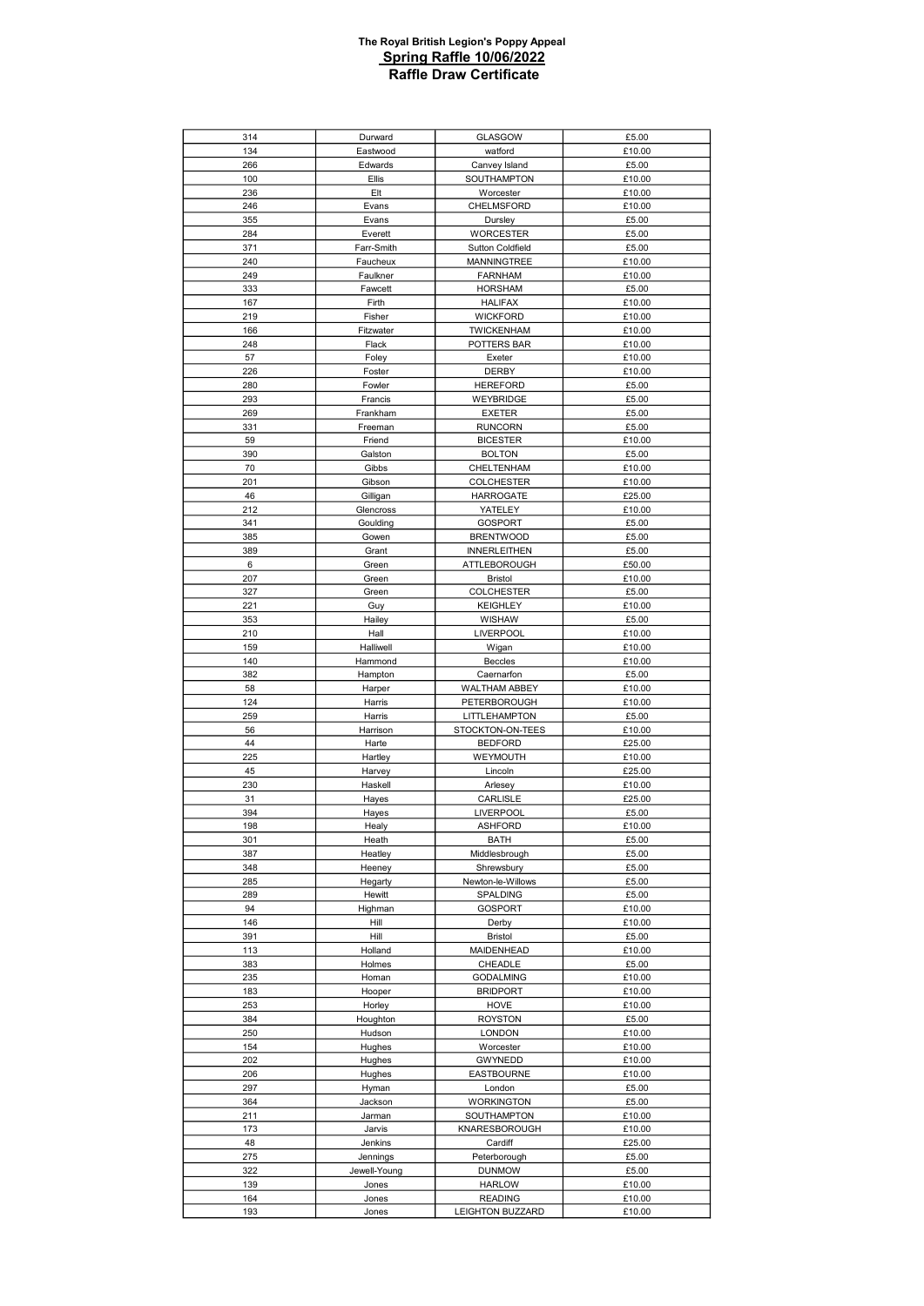| 314        | Durward           | GLASGOW                             | £5.00            |
|------------|-------------------|-------------------------------------|------------------|
| 134        | Eastwood          | watford                             | £10.00           |
| 266        | Edwards           | Canvey Island                       | £5.00            |
| 100        | Ellis             | SOUTHAMPTON                         | £10.00           |
| 236        | Elt               | Worcester                           | £10.00           |
| 246        | Evans             | CHELMSFORD                          | £10.00           |
| 355        | Evans             | Dursley                             | £5.00            |
| 284        | Everett           | <b>WORCESTER</b>                    | £5.00            |
| 371        | Farr-Smith        | <b>Sutton Coldfield</b>             | £5.00            |
| 240        | Faucheux          | <b>MANNINGTREE</b>                  | £10.00           |
| 249        | Faulkner          | <b>FARNHAM</b>                      | £10.00           |
| 333        | Fawcett           | <b>HORSHAM</b>                      | £5.00            |
| 167        | Firth             | <b>HALIFAX</b>                      | £10.00           |
| 219        | Fisher            | <b>WICKFORD</b>                     | £10.00           |
| 166        | Fitzwater         | <b>TWICKENHAM</b>                   | £10.00           |
| 248        | Flack             | POTTERS BAR                         | £10.00           |
| 57         | Foley             | Exeter                              | £10.00           |
| 226        | Foster            | <b>DERBY</b>                        | £10.00           |
| 280        | Fowler            | <b>HEREFORD</b>                     | £5.00            |
| 293        | Francis           | WEYBRIDGE                           | £5.00            |
| 269        | Frankham          | <b>EXETER</b>                       | £5.00            |
| 331        | Freeman           | <b>RUNCORN</b>                      | £5.00            |
| 59         | Friend            | <b>BICESTER</b>                     | £10.00           |
| 390        | Galston           | <b>BOLTON</b>                       | £5.00            |
| 70         | Gibbs             | CHELTENHAM                          | £10.00           |
| 201        | Gibson            | <b>COLCHESTER</b>                   | £10.00           |
| 46         | Gilligan          | <b>HARROGATE</b>                    | £25.00           |
| 212        | Glencross         | YATELEY                             | £10.00           |
| 341        | Goulding          | <b>GOSPORT</b>                      | £5.00            |
| 385        | Gowen             | <b>BRENTWOOD</b>                    | £5.00            |
| 389        | Grant             | <b>INNERLEITHEN</b>                 | £5.00            |
| 6          | Green             | ATTLEBOROUGH                        | £50.00           |
| 207        | Green             | <b>Bristol</b>                      | £10.00           |
| 327        | Green             | <b>COLCHESTER</b>                   | £5.00            |
| 221        | Guy               | <b>KEIGHLEY</b>                     | £10.00           |
| 353        | Hailey            | WISHAW                              | £5.00            |
| 210        | Hall              | <b>LIVERPOOL</b>                    | £10.00           |
| 159        | Halliwell         | Wigan                               | £10.00           |
| 140        | Hammond           | <b>Beccles</b>                      | £10.00           |
| 382<br>58  | Hampton<br>Harper | Caernarfon<br>WALTHAM ABBEY         | £5.00<br>£10.00  |
| 124        | Harris            | PETERBOROUGH                        | £10.00           |
| 259        | Harris            | LITTLEHAMPTON                       | £5.00            |
| 56         | Harrison          | STOCKTON-ON-TEES                    | £10.00           |
| 44         | Harte             | <b>BEDFORD</b>                      | £25.00           |
| 225        | Hartley           | WEYMOUTH                            | £10.00           |
| 45         | Harvey            | Lincoln                             | £25.00           |
| 230        | Haskell           | Arlesey                             | £10.00           |
| 31         | Hayes             | CARLISLE                            | £25.00           |
| 394        | Hayes             | LIVERPOOL                           | £5.00            |
| 198        | Healy             | <b>ASHFORD</b>                      | £10.00           |
| 301        | Heath             | BATH                                | £5.00            |
| 387        | Heatley           | Middlesbrough                       | £5.00            |
| 348        | Heeney            | Shrewsbury                          | £5.00            |
| 285        | Hegarty           | Newton-le-Willows                   | £5.00            |
| 289        | Hewitt            | SPALDING                            | £5.00            |
| 94         | Highman           | GOSPORT                             | £10.00           |
| 146        | Hill              | Derby                               | £10.00           |
| 391        | Hill              | <b>Bristol</b>                      | £5.00            |
| 113        | Holland           | MAIDENHEAD                          | £10.00           |
| 383        | Holmes            | CHEADLE                             | £5.00            |
| 235<br>183 | Homan<br>Hooper   | <b>GODALMING</b><br><b>BRIDPORT</b> | £10.00<br>£10.00 |
|            | Horley            | HOVE                                | £10.00           |
| 253<br>384 | Houghton          | <b>ROYSTON</b>                      | £5.00            |
| 250        | Hudson            | <b>LONDON</b>                       | £10.00           |
| 154        | Hughes            | Worcester                           | £10.00           |
| 202        | Hughes            | <b>GWYNEDD</b>                      | £10.00           |
| 206        | Hughes            | <b>EASTBOURNE</b>                   | £10.00           |
| 297        | Hyman             | London                              | £5.00            |
| 364        | Jackson           | <b>WORKINGTON</b>                   | £5.00            |
| 211        | Jarman            | SOUTHAMPTON                         | £10.00           |
| 173        | Jarvis            | KNARESBOROUGH                       | £10.00           |
| 48         | Jenkins           | Cardiff                             | £25.00           |
| 275        | Jennings          | Peterborough                        | £5.00            |
| 322        | Jewell-Young      | <b>DUNMOW</b>                       | £5.00            |
| 139        | Jones             | <b>HARLOW</b>                       | £10.00           |
| 164        | Jones             | <b>READING</b>                      | £10.00           |
| 193        | Jones             | LEIGHTON BUZZARD                    | £10.00           |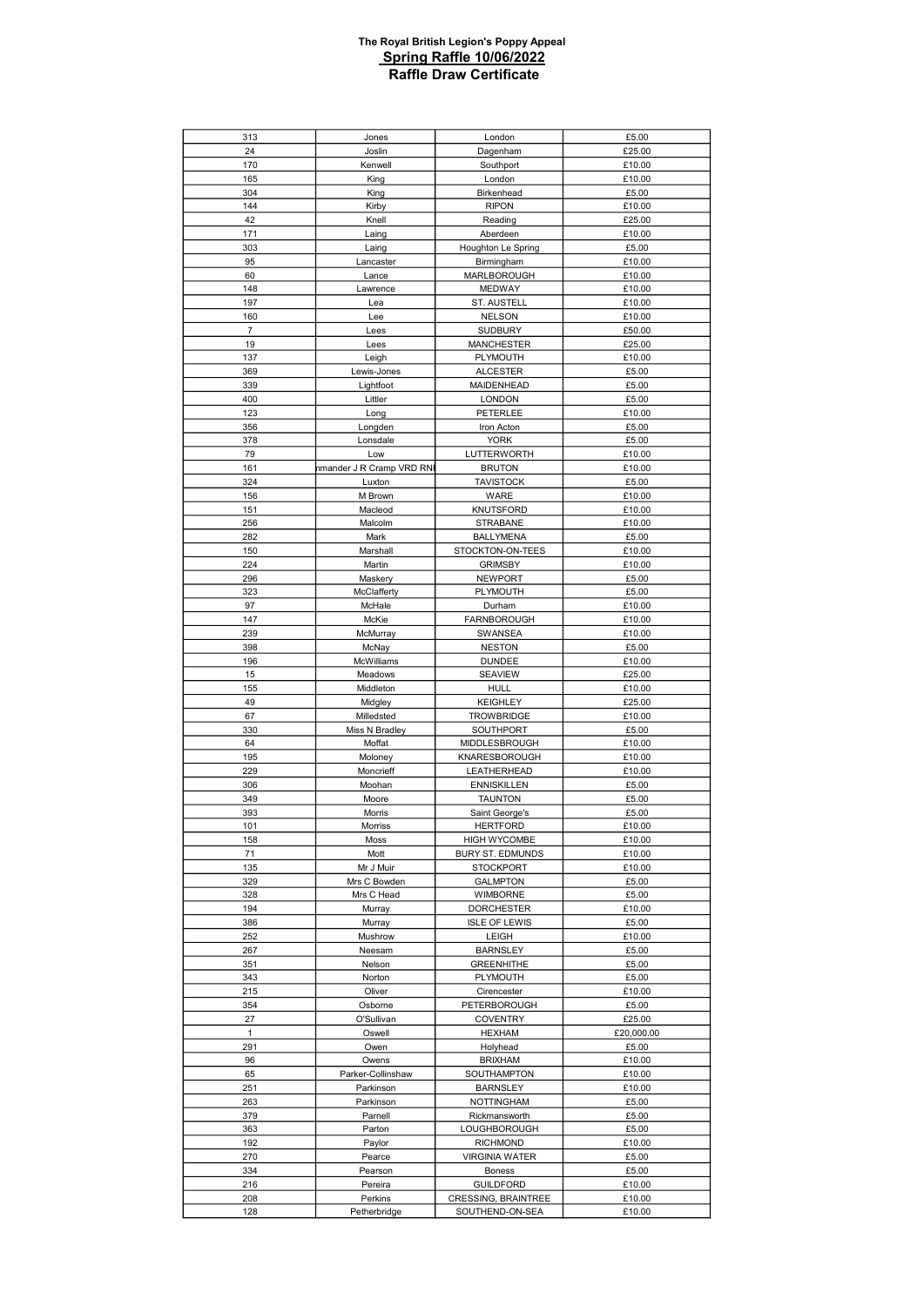| 313            | Jones                     | London                                 | £5.00            |
|----------------|---------------------------|----------------------------------------|------------------|
| 24             | Joslin                    | Dagenham                               | £25.00           |
| 170            | Kenwell                   | Southport                              | £10.00           |
| 165            | King                      | London                                 | £10.00           |
|                |                           |                                        |                  |
| 304            | King                      | Birkenhead                             | £5.00            |
| 144            | Kirby                     | <b>RIPON</b>                           | £10.00           |
| 42             | Knell                     | Reading                                | £25.00           |
| 171            | Laing                     | Aberdeen                               | £10.00           |
| 303            | Laing                     | Houghton Le Spring                     | £5.00            |
| 95             | Lancaster                 | Birmingham                             | £10.00           |
| 60             | Lance                     | MARLBOROUGH                            | £10.00           |
| 148            |                           | <b>MEDWAY</b>                          |                  |
|                | Lawrence                  |                                        | £10.00           |
| 197            | Lea                       | ST. AUSTELL                            | £10.00           |
| 160            | Lee                       | <b>NELSON</b>                          | £10.00           |
| $\overline{7}$ | Lees                      | <b>SUDBURY</b>                         | £50.00           |
| 19             | Lees                      | <b>MANCHESTER</b>                      | £25.00           |
| 137            | Leigh                     | PLYMOUTH                               | £10.00           |
| 369            | Lewis-Jones               | <b>ALCESTER</b>                        | £5.00            |
| 339            | Lightfoot                 | <b>MAIDENHEAD</b>                      | £5.00            |
| 400            | Littler                   | <b>LONDON</b>                          | £5.00            |
|                |                           |                                        |                  |
| 123            | Long                      | PETERLEE                               | £10.00           |
| 356            | Longden                   | Iron Acton                             | £5.00            |
| 378            | Lonsdale                  | <b>YORK</b>                            | £5.00            |
| 79             | Low                       | LUTTERWORTH                            | £10.00           |
| 161            | nmander J R Cramp VRD RNI | <b>BRUTON</b>                          | £10.00           |
| 324            | Luxton                    | <b>TAVISTOCK</b>                       | £5.00            |
| 156            | M Brown                   | WARE                                   | £10.00           |
| 151            | Macleod                   | KNUTSFORD                              | £10.00           |
|                |                           |                                        |                  |
| 256            | Malcolm                   | <b>STRABANE</b>                        | £10.00           |
| 282            | Mark                      | <b>BALLYMENA</b>                       | £5.00            |
| 150            | Marshall                  | STOCKTON-ON-TEES                       | £10.00           |
| 224            | Martin                    | <b>GRIMSBY</b>                         | £10.00           |
| 296            | Maskery                   | <b>NEWPORT</b>                         | £5.00            |
| 323            | McClafferty               | PLYMOUTH                               | £5.00            |
| 97             | McHale                    | Durham                                 | £10.00           |
| 147            | McKie                     | <b>FARNBOROUGH</b>                     | £10.00           |
|                |                           |                                        |                  |
| 239            | McMurray                  | SWANSEA                                | £10.00           |
| 398            | McNay                     | <b>NESTON</b>                          | £5.00            |
| 196            | McWilliams                | <b>DUNDEE</b>                          | £10.00           |
| 15             | Meadows                   | <b>SEAVIEW</b>                         | £25.00           |
| 155            | Middleton                 | <b>HULL</b>                            | £10.00           |
|                |                           |                                        |                  |
|                |                           |                                        |                  |
| 49             | Midgley                   | <b>KEIGHLEY</b>                        | £25.00           |
| 67             | Milledsted                | <b>TROWBRIDGE</b>                      | £10.00           |
| 330            | Miss N Bradley            | SOUTHPORT                              | £5.00            |
| 64             | Moffat                    | MIDDLESBROUGH                          | £10.00           |
| 195            | Moloney                   | KNARESBOROUGH                          | £10.00           |
| 229            | Moncrieff                 | LEATHERHEAD                            | £10.00           |
| 306            | Moohan                    | <b>ENNISKILLEN</b>                     | £5.00            |
| 349            | Moore                     | <b>TAUNTON</b>                         | £5.00            |
| 393            | Morris                    | Saint George's                         | £5.00            |
| 101            | <b>Morriss</b>            | <b>HERTFORD</b>                        | £10.00           |
|                |                           |                                        |                  |
| 158            | Moss                      | <b>HIGH WYCOMBE</b>                    | £10.00           |
| 71             | Mott                      | BURY ST. EDMUNDS                       | £10.00           |
| 135            | Mr J Muir                 | <b>STOCKPORT</b>                       | £10.00           |
| 329            | Mrs C Bowden              | <b>GALMPTON</b>                        | £5.00            |
| 328            | Mrs C Head                | WIMBORNE                               | £5.00            |
| 194            | Murray                    | <b>DORCHESTER</b>                      | £10.00           |
| 386            | Murray                    | <b>ISLE OF LEWIS</b>                   | £5.00            |
| 252            | Mushrow                   | LEIGH                                  | £10.00           |
|                |                           |                                        |                  |
| 267            | Neesam                    | <b>BARNSLEY</b>                        | £5.00            |
| 351            | Nelson                    | <b>GREENHITHE</b>                      | £5.00            |
| 343            | Norton                    | PLYMOUTH                               | £5.00            |
| 215            | Oliver                    | Cirencester                            | £10.00           |
| 354            | Osborne                   | PETERBOROUGH                           | £5.00            |
| 27             | O'Sullivan                | <b>COVENTRY</b>                        | £25.00           |
| $\mathbf{1}$   | Oswell                    | <b>HEXHAM</b>                          | £20,000.00       |
| 291            | Owen                      | Holyhead                               | £5.00            |
| 96             | Owens                     | <b>BRIXHAM</b>                         | £10.00           |
| 65             | Parker-Collinshaw         | SOUTHAMPTON                            | £10.00           |
|                |                           |                                        |                  |
| 251            | Parkinson                 | <b>BARNSLEY</b>                        | £10.00           |
| 263            | Parkinson                 | <b>NOTTINGHAM</b>                      | £5.00            |
| 379            | Parnell                   | Rickmansworth                          | £5.00            |
| 363            | Parton                    | LOUGHBOROUGH                           | £5.00            |
| 192            | Paylor                    | <b>RICHMOND</b>                        | £10.00           |
| 270            | Pearce                    | <b>VIRGINIA WATER</b>                  | £5.00            |
| 334            | Pearson                   | Boness                                 | £5.00            |
|                |                           |                                        |                  |
| 216            | Pereira                   | <b>GUILDFORD</b>                       | £10.00           |
| 208<br>128     | Perkins<br>Petherbridge   | CRESSING, BRAINTREE<br>SOUTHEND-ON-SEA | £10.00<br>£10.00 |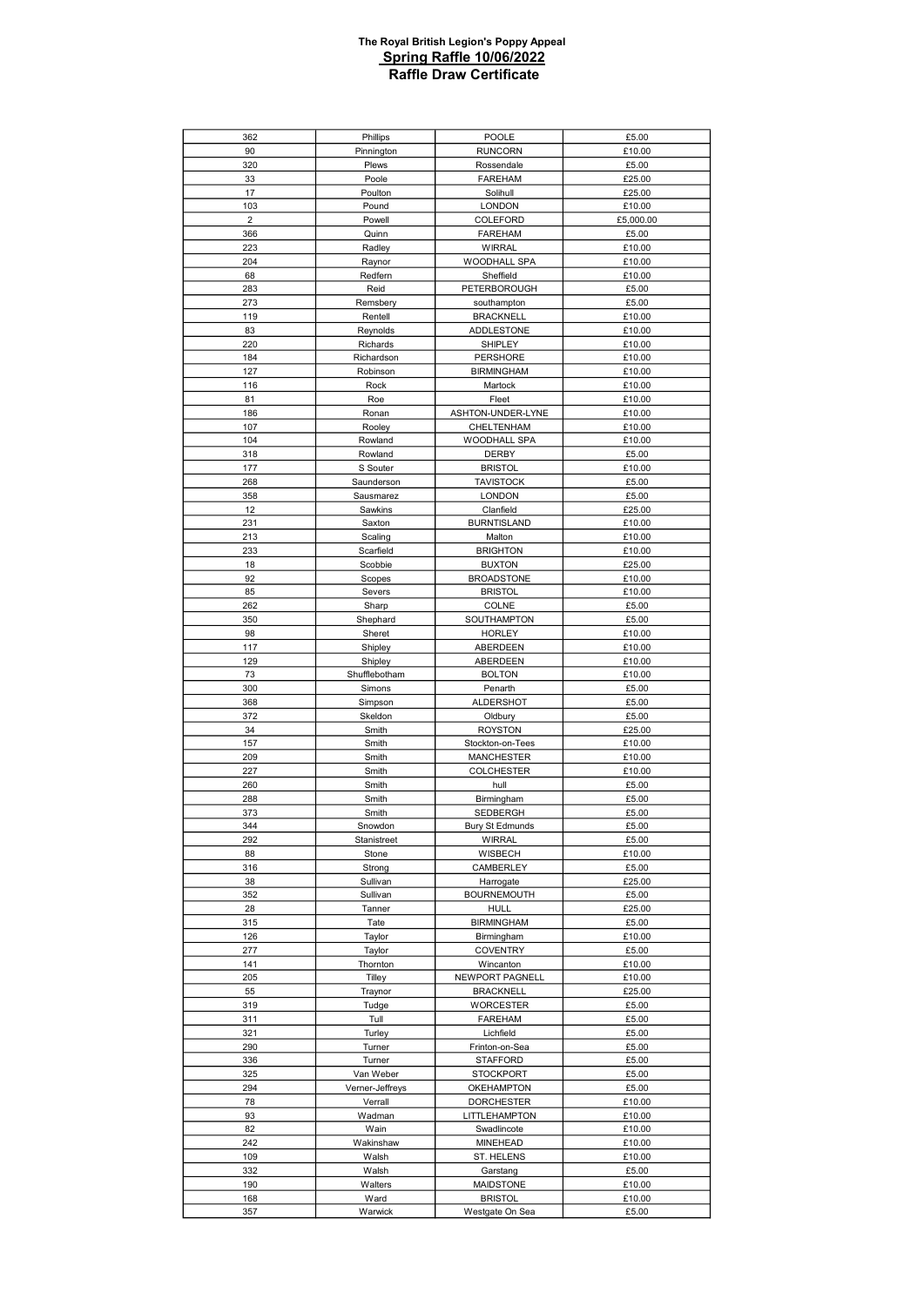| 362            | Phillips        | POOLE                  | £5.00     |
|----------------|-----------------|------------------------|-----------|
| 90             | Pinnington      | <b>RUNCORN</b>         | £10.00    |
|                |                 |                        |           |
| 320            | Plews           | Rossendale             | £5.00     |
| 33             | Poole           | <b>FAREHAM</b>         | £25.00    |
| 17             | Poulton         | Solihull               | £25.00    |
| 103            | Pound           | <b>LONDON</b>          | £10.00    |
| $\overline{2}$ |                 |                        |           |
|                | Powell          | COLEFORD               | £5,000.00 |
| 366            | Quinn           | <b>FAREHAM</b>         | £5.00     |
| 223            | Radley          | <b>WIRRAL</b>          | £10.00    |
| 204            | Raynor          | WOODHALL SPA           | £10.00    |
|                |                 |                        |           |
| 68             | Redfern         | Sheffield              | £10.00    |
| 283            | Reid            | PETERBOROUGH           | £5.00     |
| 273            | Remsbery        | southampton            | £5.00     |
| 119            | Rentell         | <b>BRACKNELL</b>       | £10.00    |
| 83             | Reynolds        | <b>ADDLESTONE</b>      | £10.00    |
|                |                 |                        |           |
| 220            | Richards        | SHIPLEY                | £10.00    |
| 184            | Richardson      | PERSHORE               | £10.00    |
| 127            | Robinson        | <b>BIRMINGHAM</b>      | £10.00    |
| 116            | Rock            | Martock                | £10.00    |
| 81             |                 |                        |           |
|                | Roe             | Fleet                  | £10.00    |
| 186            | Ronan           | ASHTON-UNDER-LYNE      | £10.00    |
| 107            | Rooley          | CHELTENHAM             | £10.00    |
| 104            | Rowland         | WOODHALL SPA           | £10.00    |
| 318            |                 |                        |           |
|                | Rowland         | DERBY                  | £5.00     |
| 177            | S Souter        | <b>BRISTOL</b>         | £10.00    |
| 268            | Saunderson      | <b>TAVISTOCK</b>       | £5.00     |
| 358            | Sausmarez       | <b>LONDON</b>          | £5.00     |
| 12             | Sawkins         | Clanfield              | £25.00    |
|                |                 |                        |           |
| 231            | Saxton          | <b>BURNTISLAND</b>     | £10.00    |
| 213            | Scaling         | Malton                 | £10.00    |
| 233            | Scarfield       | <b>BRIGHTON</b>        | £10.00    |
| 18             | Scobbie         | <b>BUXTON</b>          | £25.00    |
| 92             | Scopes          | <b>BROADSTONE</b>      | £10.00    |
|                |                 |                        |           |
| 85             | Severs          | <b>BRISTOL</b>         | £10.00    |
| 262            | Sharp           | COLNE                  | £5.00     |
| 350            | Shephard        | SOUTHAMPTON            | £5.00     |
| 98             | Sheret          | <b>HORLEY</b>          | £10.00    |
|                |                 |                        |           |
| 117            | Shipley         | ABERDEEN               | £10.00    |
| 129            | Shipley         | ABERDEEN               | £10.00    |
| 73             | Shufflebotham   | <b>BOLTON</b>          | £10.00    |
|                |                 |                        |           |
|                |                 |                        |           |
| 300            | Simons          | Penarth                | £5.00     |
| 368            | Simpson         | <b>ALDERSHOT</b>       | £5.00     |
| 372            | Skeldon         | Oldbury                | £5.00     |
| 34             | Smith           | <b>ROYSTON</b>         | £25.00    |
|                |                 |                        |           |
| 157            | Smith           | Stockton-on-Tees       | £10.00    |
| 209            | Smith           | <b>MANCHESTER</b>      | £10.00    |
| 227            | Smith           | <b>COLCHESTER</b>      | £10.00    |
| 260            | Smith           | hull                   | £5.00     |
| 288            | Smith           | Birmingham             | £5.00     |
|                |                 |                        |           |
| 373            | Smith           | SEDBERGH               | £5.00     |
| 344            | Snowdon         | <b>Bury St Edmunds</b> | £5.00     |
| 292            | Stanistreet     | WIRRAL                 | £5.00     |
| 88             | Stone           | WISBECH                | £10.00    |
| 316            | Strong          | CAMBERLEY              | £5.00     |
|                |                 |                        |           |
| 38             | Sullivan        | Harrogate              | £25.00    |
| 352            | Sullivan        | <b>BOURNEMOUTH</b>     | £5.00     |
| 28             | Tanner          | <b>HULL</b>            | £25.00    |
| 315            | Tate            | <b>BIRMINGHAM</b>      | £5.00     |
| 126            | Taylor          | Birmingham             | £10.00    |
|                |                 |                        |           |
| 277            | Taylor          | <b>COVENTRY</b>        | £5.00     |
| 141            | Thornton        | Wincanton              | £10.00    |
| 205            | Tilley          | NEWPORT PAGNELL        | £10.00    |
| 55             | Traynor         | <b>BRACKNELL</b>       | £25.00    |
| 319            | Tudge           | <b>WORCESTER</b>       | £5.00     |
| 311            | Tull            | <b>FAREHAM</b>         | £5.00     |
|                |                 |                        |           |
| 321            | Turley          | Lichfield              | £5.00     |
| 290            | Turner          | Frinton-on-Sea         | £5.00     |
| 336            | Turner          | <b>STAFFORD</b>        | £5.00     |
| 325            | Van Weber       | <b>STOCKPORT</b>       | £5.00     |
|                |                 |                        |           |
| 294            | Verner-Jeffreys | <b>OKEHAMPTON</b>      | £5.00     |
| 78             | Verrall         | <b>DORCHESTER</b>      | £10.00    |
| 93             | Wadman          | LITTLEHAMPTON          | £10.00    |
| 82             | Wain            | Swadlincote            | £10.00    |
| 242            | Wakinshaw       | <b>MINEHEAD</b>        | £10.00    |
|                |                 |                        |           |
| 109            | Walsh           | ST. HELENS             | £10.00    |
| 332            | Walsh           | Garstang               | £5.00     |
| 190            | Walters         | <b>MAIDSTONE</b>       | £10.00    |
| 168            | Ward            | <b>BRISTOL</b>         | £10.00    |
| 357            | Warwick         | Westgate On Sea        | £5.00     |